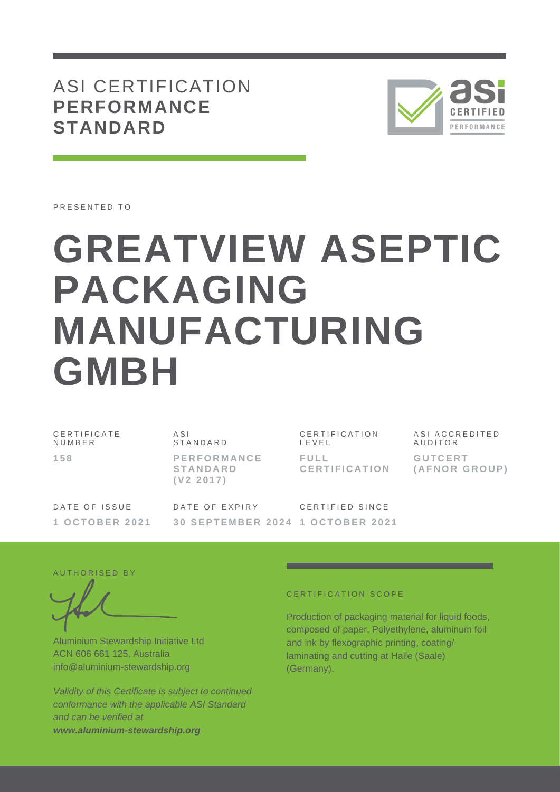## ASI CERTIFICATION **PERFORMANCE STANDARD**



PRESENTED TO

# **GREATVIEW ASEPTIC PACKAGING MANUFACTURING GMBH**

C E R T I F I C A T E **NUMBER 1 5 8**

A S I **STANDARD P E R F O R M A N C E S T A N D A R D ( V 2 2 0 1 7 )**

CERTIFICATION L E V E L **F U L L C E R T I F I C A T I O N** ASI ACCREDITED **AUDITOR G U T C E R T ( A F N O R G R O U P )**

DATE OF ISSUE **1 O C T O B E R 2021** DATE OF EXPIRY **3 0 S E P T E M B E R 2 0 2 4 1 O C T O B E R 2021** CERTIFIED SINCE

AUTHORISED BY

Aluminium Stewardship Initiative Ltd ACN 606 661 125, Australia info@aluminium-stewardship.org

*Validity of this Certificate is subject to continued conformance with the applicable ASI Standard and can be verified at www.aluminium-stewardship.org*

#### CERTIFICATION SCOPE

Production of packaging material for liquid foods, composed of paper, Polyethylene, aluminum foil and ink by flexographic printing, coating/ laminating and cutting at Halle (Saale) (Germany).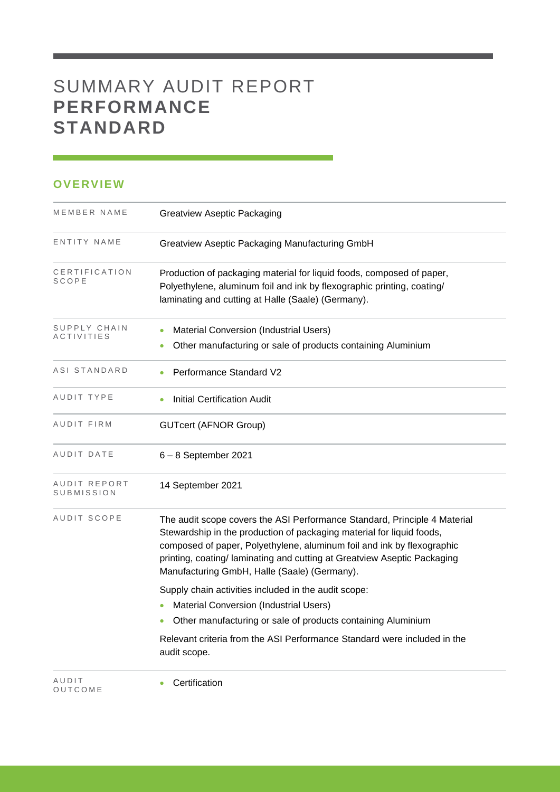# SUMMARY AUDIT REPORT **PERFORMANCE STANDARD**

### **OVERVIEW**

| MEMBER NAME                                                                                                                                                                                                                     | <b>Greatview Aseptic Packaging</b>                                                                                                                                                                                                                                                                                                                       |  |
|---------------------------------------------------------------------------------------------------------------------------------------------------------------------------------------------------------------------------------|----------------------------------------------------------------------------------------------------------------------------------------------------------------------------------------------------------------------------------------------------------------------------------------------------------------------------------------------------------|--|
| ENTITY NAME                                                                                                                                                                                                                     | Greatview Aseptic Packaging Manufacturing GmbH                                                                                                                                                                                                                                                                                                           |  |
| CERTIFICATION<br>Production of packaging material for liquid foods, composed of paper,<br>SCOPE<br>Polyethylene, aluminum foil and ink by flexographic printing, coating/<br>laminating and cutting at Halle (Saale) (Germany). |                                                                                                                                                                                                                                                                                                                                                          |  |
| SUPPLY CHAIN<br><b>ACTIVITIES</b>                                                                                                                                                                                               | <b>Material Conversion (Industrial Users)</b><br>Other manufacturing or sale of products containing Aluminium                                                                                                                                                                                                                                            |  |
| ASI STANDARD                                                                                                                                                                                                                    | Performance Standard V2                                                                                                                                                                                                                                                                                                                                  |  |
| AUDIT TYPE                                                                                                                                                                                                                      | <b>Initial Certification Audit</b>                                                                                                                                                                                                                                                                                                                       |  |
| AUDIT FIRM                                                                                                                                                                                                                      | <b>GUTcert (AFNOR Group)</b>                                                                                                                                                                                                                                                                                                                             |  |
| AUDIT DATE                                                                                                                                                                                                                      | $6 - 8$ September 2021                                                                                                                                                                                                                                                                                                                                   |  |
| AUDIT REPORT<br>SUBMISSION                                                                                                                                                                                                      | 14 September 2021                                                                                                                                                                                                                                                                                                                                        |  |
| AUDIT SCOPE                                                                                                                                                                                                                     | The audit scope covers the ASI Performance Standard, Principle 4 Material<br>Stewardship in the production of packaging material for liquid foods,<br>composed of paper, Polyethylene, aluminum foil and ink by flexographic<br>printing, coating/ laminating and cutting at Greatview Aseptic Packaging<br>Manufacturing GmbH, Halle (Saale) (Germany). |  |
|                                                                                                                                                                                                                                 | Supply chain activities included in the audit scope:<br>Material Conversion (Industrial Users)                                                                                                                                                                                                                                                           |  |
|                                                                                                                                                                                                                                 | Other manufacturing or sale of products containing Aluminium                                                                                                                                                                                                                                                                                             |  |
|                                                                                                                                                                                                                                 | Relevant criteria from the ASI Performance Standard were included in the<br>audit scope.                                                                                                                                                                                                                                                                 |  |
| AUDIT<br>OUTCOME                                                                                                                                                                                                                | Certification                                                                                                                                                                                                                                                                                                                                            |  |

and the control of the control of the control of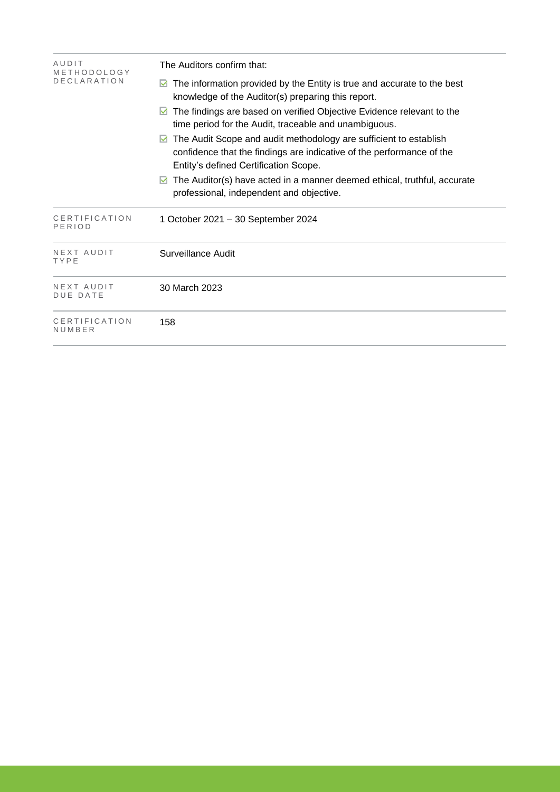| AUDIT<br>METHODOLOGY          | The Auditors confirm that:                                                                                                                                                               |  |  |  |  |
|-------------------------------|------------------------------------------------------------------------------------------------------------------------------------------------------------------------------------------|--|--|--|--|
| <b>DECLARATION</b>            | The information provided by the Entity is true and accurate to the best<br>knowledge of the Auditor(s) preparing this report.                                                            |  |  |  |  |
|                               | The findings are based on verified Objective Evidence relevant to the<br>M<br>time period for the Audit, traceable and unambiguous.                                                      |  |  |  |  |
|                               | The Audit Scope and audit methodology are sufficient to establish<br>M<br>confidence that the findings are indicative of the performance of the<br>Entity's defined Certification Scope. |  |  |  |  |
|                               | The Auditor(s) have acted in a manner deemed ethical, truthful, accurate<br>M<br>professional, independent and objective.                                                                |  |  |  |  |
| CERTIFICATION<br>PERIOD       | 1 October 2021 - 30 September 2024                                                                                                                                                       |  |  |  |  |
| NEXT AUDIT<br>TYPE            | Surveillance Audit                                                                                                                                                                       |  |  |  |  |
| NEXT AUDIT<br><b>DUE DATE</b> | 30 March 2023                                                                                                                                                                            |  |  |  |  |
| CERTIFICATION<br>NUMBER       | 158                                                                                                                                                                                      |  |  |  |  |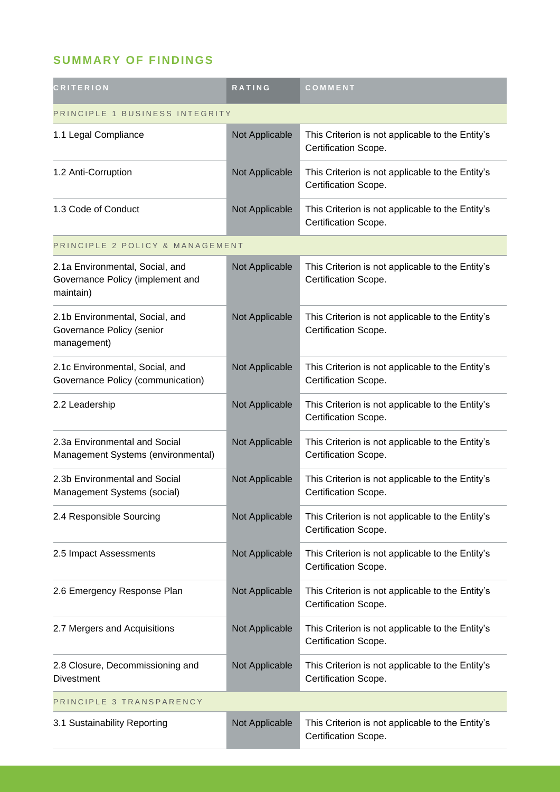## **SUMMARY OF FINDINGS**

| <b>CRITERION</b>                                                                 | RATING         | COMMENT                                                                  |
|----------------------------------------------------------------------------------|----------------|--------------------------------------------------------------------------|
| PRINCIPLE 1 BUSINESS INTEGRITY                                                   |                |                                                                          |
| 1.1 Legal Compliance                                                             | Not Applicable | This Criterion is not applicable to the Entity's<br>Certification Scope. |
| 1.2 Anti-Corruption                                                              | Not Applicable | This Criterion is not applicable to the Entity's<br>Certification Scope. |
| 1.3 Code of Conduct                                                              | Not Applicable | This Criterion is not applicable to the Entity's<br>Certification Scope. |
| PRINCIPLE 2 POLICY & MANAGEMENT                                                  |                |                                                                          |
| 2.1a Environmental, Social, and<br>Governance Policy (implement and<br>maintain) | Not Applicable | This Criterion is not applicable to the Entity's<br>Certification Scope. |
| 2.1b Environmental, Social, and<br>Governance Policy (senior<br>management)      | Not Applicable | This Criterion is not applicable to the Entity's<br>Certification Scope. |
| 2.1c Environmental, Social, and<br>Governance Policy (communication)             | Not Applicable | This Criterion is not applicable to the Entity's<br>Certification Scope. |
| 2.2 Leadership                                                                   | Not Applicable | This Criterion is not applicable to the Entity's<br>Certification Scope. |
| 2.3a Environmental and Social<br>Management Systems (environmental)              | Not Applicable | This Criterion is not applicable to the Entity's<br>Certification Scope. |
| 2.3b Environmental and Social<br>Management Systems (social)                     | Not Applicable | This Criterion is not applicable to the Entity's<br>Certification Scope. |
| 2.4 Responsible Sourcing                                                         | Not Applicable | This Criterion is not applicable to the Entity's<br>Certification Scope. |
| 2.5 Impact Assessments                                                           | Not Applicable | This Criterion is not applicable to the Entity's<br>Certification Scope. |
| 2.6 Emergency Response Plan                                                      | Not Applicable | This Criterion is not applicable to the Entity's<br>Certification Scope. |
| 2.7 Mergers and Acquisitions                                                     | Not Applicable | This Criterion is not applicable to the Entity's<br>Certification Scope. |
| 2.8 Closure, Decommissioning and<br><b>Divestment</b>                            | Not Applicable | This Criterion is not applicable to the Entity's<br>Certification Scope. |
| PRINCIPLE 3 TRANSPARENCY                                                         |                |                                                                          |
| 3.1 Sustainability Reporting                                                     | Not Applicable | This Criterion is not applicable to the Entity's<br>Certification Scope. |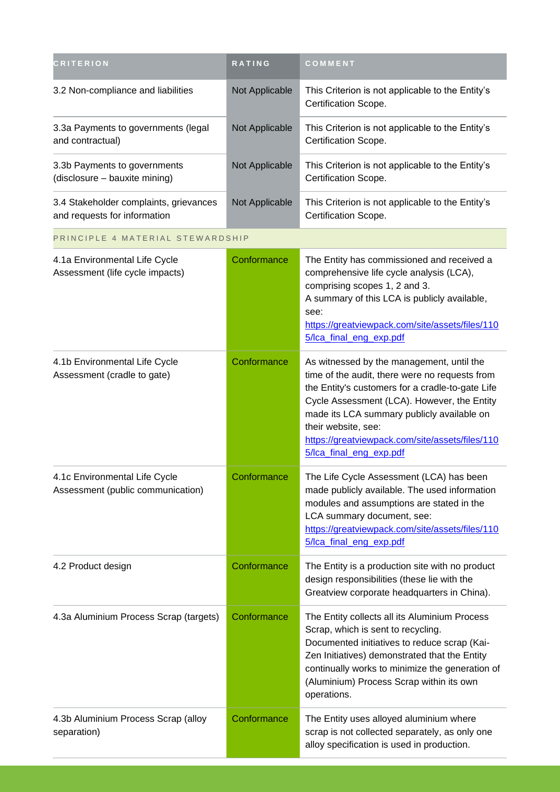| <b>CRITERION</b>                                                       | <b>RATING</b>  | COMMENT                                                                                                                                                                                                                                                                                                                                           |
|------------------------------------------------------------------------|----------------|---------------------------------------------------------------------------------------------------------------------------------------------------------------------------------------------------------------------------------------------------------------------------------------------------------------------------------------------------|
| 3.2 Non-compliance and liabilities                                     | Not Applicable | This Criterion is not applicable to the Entity's<br>Certification Scope.                                                                                                                                                                                                                                                                          |
| 3.3a Payments to governments (legal<br>and contractual)                | Not Applicable | This Criterion is not applicable to the Entity's<br>Certification Scope.                                                                                                                                                                                                                                                                          |
| 3.3b Payments to governments<br>(disclosure - bauxite mining)          | Not Applicable | This Criterion is not applicable to the Entity's<br>Certification Scope.                                                                                                                                                                                                                                                                          |
| 3.4 Stakeholder complaints, grievances<br>and requests for information | Not Applicable | This Criterion is not applicable to the Entity's<br>Certification Scope.                                                                                                                                                                                                                                                                          |
| PRINCIPLE 4 MATERIAL STEWARDSHIP                                       |                |                                                                                                                                                                                                                                                                                                                                                   |
| 4.1a Environmental Life Cycle<br>Assessment (life cycle impacts)       | Conformance    | The Entity has commissioned and received a<br>comprehensive life cycle analysis (LCA),<br>comprising scopes 1, 2 and 3.<br>A summary of this LCA is publicly available,<br>see:<br>https://greatviewpack.com/site/assets/files/110<br>5/lca_final_eng_exp.pdf                                                                                     |
| 4.1b Environmental Life Cycle<br>Assessment (cradle to gate)           | Conformance    | As witnessed by the management, until the<br>time of the audit, there were no requests from<br>the Entity's customers for a cradle-to-gate Life<br>Cycle Assessment (LCA). However, the Entity<br>made its LCA summary publicly available on<br>their website, see:<br>https://greatviewpack.com/site/assets/files/110<br>5/lca_final_eng_exp.pdf |
| 4.1c Environmental Life Cycle<br>Assessment (public communication)     | Conformance    | The Life Cycle Assessment (LCA) has been<br>made publicly available. The used information<br>modules and assumptions are stated in the<br>LCA summary document, see:<br>https://greatviewpack.com/site/assets/files/110<br>5/Ica_final_eng_exp.pdf                                                                                                |
| 4.2 Product design                                                     | Conformance    | The Entity is a production site with no product<br>design responsibilities (these lie with the<br>Greatview corporate headquarters in China).                                                                                                                                                                                                     |
| 4.3a Aluminium Process Scrap (targets)                                 | Conformance    | The Entity collects all its Aluminium Process<br>Scrap, which is sent to recycling.<br>Documented initiatives to reduce scrap (Kai-<br>Zen Initiatives) demonstrated that the Entity<br>continually works to minimize the generation of<br>(Aluminium) Process Scrap within its own<br>operations.                                                |
| 4.3b Aluminium Process Scrap (alloy<br>separation)                     | Conformance    | The Entity uses alloyed aluminium where<br>scrap is not collected separately, as only one<br>alloy specification is used in production.                                                                                                                                                                                                           |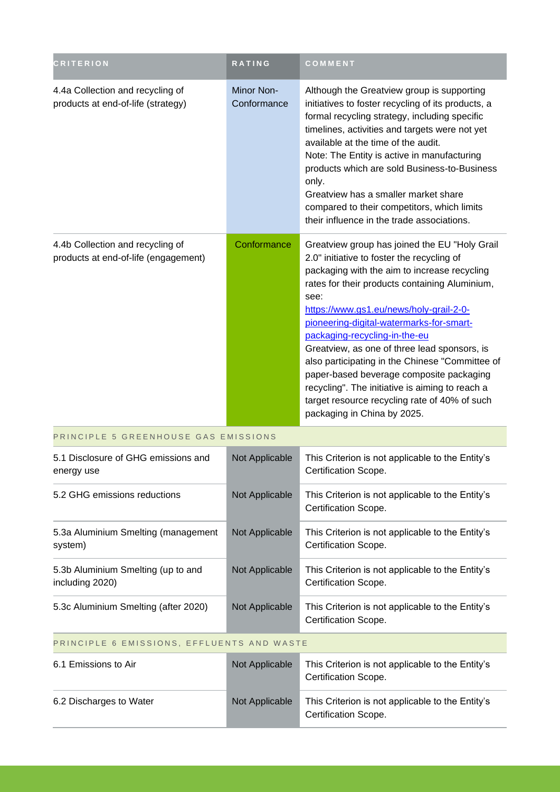| <b>CRITERION</b>                                                         | RATING                    | COMMENT                                                                                                                                                                                                                                                                                                                                                                                                                                                                                                                                                                                                         |
|--------------------------------------------------------------------------|---------------------------|-----------------------------------------------------------------------------------------------------------------------------------------------------------------------------------------------------------------------------------------------------------------------------------------------------------------------------------------------------------------------------------------------------------------------------------------------------------------------------------------------------------------------------------------------------------------------------------------------------------------|
| 4.4a Collection and recycling of<br>products at end-of-life (strategy)   | Minor Non-<br>Conformance | Although the Greatview group is supporting<br>initiatives to foster recycling of its products, a<br>formal recycling strategy, including specific<br>timelines, activities and targets were not yet<br>available at the time of the audit.<br>Note: The Entity is active in manufacturing<br>products which are sold Business-to-Business<br>only.<br>Greatview has a smaller market share<br>compared to their competitors, which limits<br>their influence in the trade associations.                                                                                                                         |
| 4.4b Collection and recycling of<br>products at end-of-life (engagement) | Conformance               | Greatview group has joined the EU "Holy Grail<br>2.0" initiative to foster the recycling of<br>packaging with the aim to increase recycling<br>rates for their products containing Aluminium,<br>see:<br>https://www.gs1.eu/news/holy-grail-2-0-<br>pioneering-digital-watermarks-for-smart-<br>packaging-recycling-in-the-eu<br>Greatview, as one of three lead sponsors, is<br>also participating in the Chinese "Committee of<br>paper-based beverage composite packaging<br>recycling". The initiative is aiming to reach a<br>target resource recycling rate of 40% of such<br>packaging in China by 2025. |
| PRINCIPLE 5 GREENHOUSE GAS EMISSIONS                                     |                           |                                                                                                                                                                                                                                                                                                                                                                                                                                                                                                                                                                                                                 |
| 5.1 Disclosure of GHG emissions and<br>energy use                        | Not Applicable            | This Criterion is not applicable to the Entity's<br>Certification Scope.                                                                                                                                                                                                                                                                                                                                                                                                                                                                                                                                        |
| 5.2 GHG emissions reductions                                             | Not Applicable            | This Criterion is not applicable to the Entity's<br>Certification Scope.                                                                                                                                                                                                                                                                                                                                                                                                                                                                                                                                        |
| 5.3a Aluminium Smelting (management<br>system)                           | Not Applicable            | This Criterion is not applicable to the Entity's<br>Certification Scope.                                                                                                                                                                                                                                                                                                                                                                                                                                                                                                                                        |
| 5.3b Aluminium Smelting (up to and<br>including 2020)                    | Not Applicable            | This Criterion is not applicable to the Entity's<br>Certification Scope.                                                                                                                                                                                                                                                                                                                                                                                                                                                                                                                                        |
| 5.3c Aluminium Smelting (after 2020)                                     | Not Applicable            | This Criterion is not applicable to the Entity's<br>Certification Scope.                                                                                                                                                                                                                                                                                                                                                                                                                                                                                                                                        |
| PRINCIPLE 6 EMISSIONS, EFFLUENTS AND WASTE                               |                           |                                                                                                                                                                                                                                                                                                                                                                                                                                                                                                                                                                                                                 |
| 6.1 Emissions to Air                                                     | Not Applicable            | This Criterion is not applicable to the Entity's<br>Certification Scope.                                                                                                                                                                                                                                                                                                                                                                                                                                                                                                                                        |
| 6.2 Discharges to Water                                                  | Not Applicable            | This Criterion is not applicable to the Entity's<br>Certification Scope.                                                                                                                                                                                                                                                                                                                                                                                                                                                                                                                                        |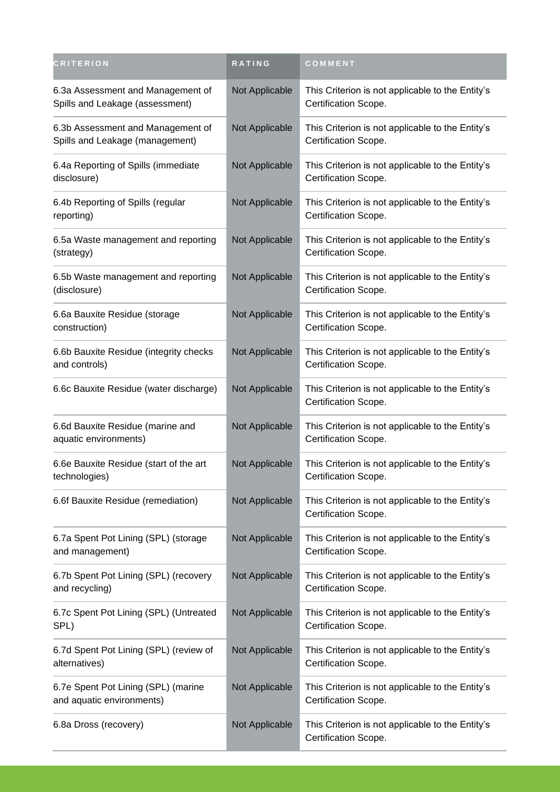| <b>CRITERION</b>                                                     | RATING         | COMMENT                                                                  |
|----------------------------------------------------------------------|----------------|--------------------------------------------------------------------------|
| 6.3a Assessment and Management of<br>Spills and Leakage (assessment) | Not Applicable | This Criterion is not applicable to the Entity's<br>Certification Scope. |
| 6.3b Assessment and Management of<br>Spills and Leakage (management) | Not Applicable | This Criterion is not applicable to the Entity's<br>Certification Scope. |
| 6.4a Reporting of Spills (immediate<br>disclosure)                   | Not Applicable | This Criterion is not applicable to the Entity's<br>Certification Scope. |
| 6.4b Reporting of Spills (regular<br>reporting)                      | Not Applicable | This Criterion is not applicable to the Entity's<br>Certification Scope. |
| 6.5a Waste management and reporting<br>(strategy)                    | Not Applicable | This Criterion is not applicable to the Entity's<br>Certification Scope. |
| 6.5b Waste management and reporting<br>(disclosure)                  | Not Applicable | This Criterion is not applicable to the Entity's<br>Certification Scope. |
| 6.6a Bauxite Residue (storage<br>construction)                       | Not Applicable | This Criterion is not applicable to the Entity's<br>Certification Scope. |
| 6.6b Bauxite Residue (integrity checks<br>and controls)              | Not Applicable | This Criterion is not applicable to the Entity's<br>Certification Scope. |
| 6.6c Bauxite Residue (water discharge)                               | Not Applicable | This Criterion is not applicable to the Entity's<br>Certification Scope. |
| 6.6d Bauxite Residue (marine and<br>aquatic environments)            | Not Applicable | This Criterion is not applicable to the Entity's<br>Certification Scope. |
| 6.6e Bauxite Residue (start of the art<br>technologies)              | Not Applicable | This Criterion is not applicable to the Entity's<br>Certification Scope. |
| 6.6f Bauxite Residue (remediation)                                   | Not Applicable | This Criterion is not applicable to the Entity's<br>Certification Scope. |
| 6.7a Spent Pot Lining (SPL) (storage<br>and management)              | Not Applicable | This Criterion is not applicable to the Entity's<br>Certification Scope. |
| 6.7b Spent Pot Lining (SPL) (recovery<br>and recycling)              | Not Applicable | This Criterion is not applicable to the Entity's<br>Certification Scope. |
| 6.7c Spent Pot Lining (SPL) (Untreated<br>SPL)                       | Not Applicable | This Criterion is not applicable to the Entity's<br>Certification Scope. |
| 6.7d Spent Pot Lining (SPL) (review of<br>alternatives)              | Not Applicable | This Criterion is not applicable to the Entity's<br>Certification Scope. |
| 6.7e Spent Pot Lining (SPL) (marine<br>and aquatic environments)     | Not Applicable | This Criterion is not applicable to the Entity's<br>Certification Scope. |
| 6.8a Dross (recovery)                                                | Not Applicable | This Criterion is not applicable to the Entity's<br>Certification Scope. |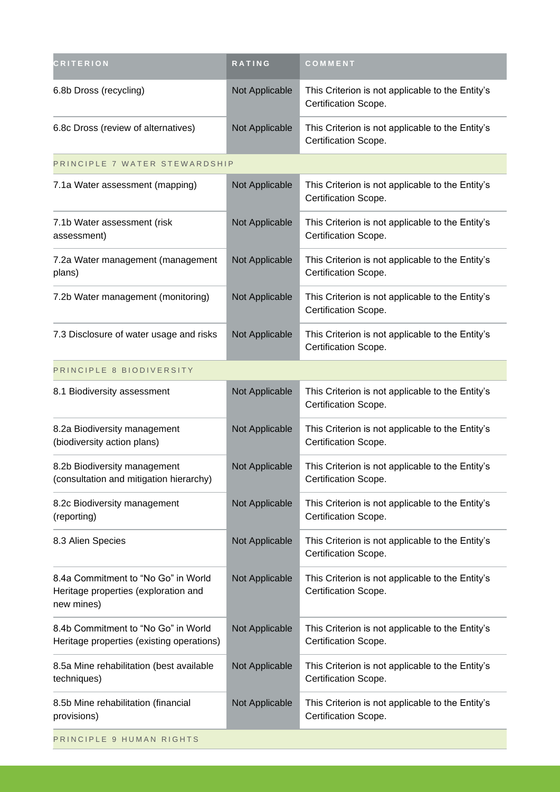| <b>CRITERION</b>                                                                          | RATING         | COMMENT                                                                  |
|-------------------------------------------------------------------------------------------|----------------|--------------------------------------------------------------------------|
| 6.8b Dross (recycling)                                                                    | Not Applicable | This Criterion is not applicable to the Entity's<br>Certification Scope. |
| 6.8c Dross (review of alternatives)                                                       | Not Applicable | This Criterion is not applicable to the Entity's<br>Certification Scope. |
| PRINCIPLE 7 WATER STEWARDSHIP                                                             |                |                                                                          |
| 7.1a Water assessment (mapping)                                                           | Not Applicable | This Criterion is not applicable to the Entity's<br>Certification Scope. |
| 7.1b Water assessment (risk<br>assessment)                                                | Not Applicable | This Criterion is not applicable to the Entity's<br>Certification Scope. |
| 7.2a Water management (management<br>plans)                                               | Not Applicable | This Criterion is not applicable to the Entity's<br>Certification Scope. |
| 7.2b Water management (monitoring)                                                        | Not Applicable | This Criterion is not applicable to the Entity's<br>Certification Scope. |
| 7.3 Disclosure of water usage and risks                                                   | Not Applicable | This Criterion is not applicable to the Entity's<br>Certification Scope. |
| PRINCIPLE 8 BIODIVERSITY                                                                  |                |                                                                          |
| 8.1 Biodiversity assessment                                                               | Not Applicable | This Criterion is not applicable to the Entity's<br>Certification Scope. |
| 8.2a Biodiversity management<br>(biodiversity action plans)                               | Not Applicable | This Criterion is not applicable to the Entity's<br>Certification Scope. |
| 8.2b Biodiversity management<br>(consultation and mitigation hierarchy)                   | Not Applicable | This Criterion is not applicable to the Entity's<br>Certification Scope. |
| 8.2c Biodiversity management<br>(reporting)                                               | Not Applicable | This Criterion is not applicable to the Entity's<br>Certification Scope. |
| 8.3 Alien Species                                                                         | Not Applicable | This Criterion is not applicable to the Entity's<br>Certification Scope. |
| 8.4a Commitment to "No Go" in World<br>Heritage properties (exploration and<br>new mines) | Not Applicable | This Criterion is not applicable to the Entity's<br>Certification Scope. |
| 8.4b Commitment to "No Go" in World<br>Heritage properties (existing operations)          | Not Applicable | This Criterion is not applicable to the Entity's<br>Certification Scope. |
| 8.5a Mine rehabilitation (best available<br>techniques)                                   | Not Applicable | This Criterion is not applicable to the Entity's<br>Certification Scope. |
| 8.5b Mine rehabilitation (financial<br>provisions)                                        | Not Applicable | This Criterion is not applicable to the Entity's<br>Certification Scope. |
| PRINCIPLE 9 HUMAN RIGHTS                                                                  |                |                                                                          |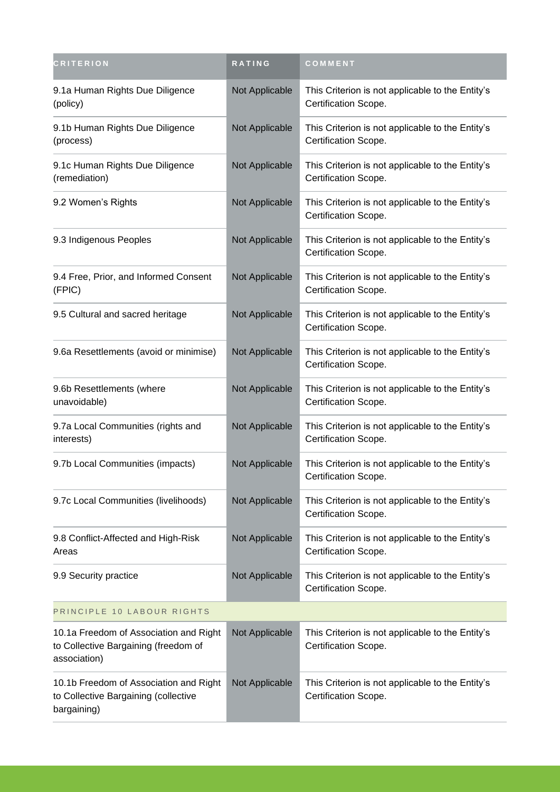| <b>CRITERION</b>                                                                               | RATING         | COMMENT                                                                  |
|------------------------------------------------------------------------------------------------|----------------|--------------------------------------------------------------------------|
| 9.1a Human Rights Due Diligence<br>(policy)                                                    | Not Applicable | This Criterion is not applicable to the Entity's<br>Certification Scope. |
| 9.1b Human Rights Due Diligence<br>(process)                                                   | Not Applicable | This Criterion is not applicable to the Entity's<br>Certification Scope. |
| 9.1c Human Rights Due Diligence<br>(remediation)                                               | Not Applicable | This Criterion is not applicable to the Entity's<br>Certification Scope. |
| 9.2 Women's Rights                                                                             | Not Applicable | This Criterion is not applicable to the Entity's<br>Certification Scope. |
| 9.3 Indigenous Peoples                                                                         | Not Applicable | This Criterion is not applicable to the Entity's<br>Certification Scope. |
| 9.4 Free, Prior, and Informed Consent<br>(FPIC)                                                | Not Applicable | This Criterion is not applicable to the Entity's<br>Certification Scope. |
| 9.5 Cultural and sacred heritage                                                               | Not Applicable | This Criterion is not applicable to the Entity's<br>Certification Scope. |
| 9.6a Resettlements (avoid or minimise)                                                         | Not Applicable | This Criterion is not applicable to the Entity's<br>Certification Scope. |
| 9.6b Resettlements (where<br>unavoidable)                                                      | Not Applicable | This Criterion is not applicable to the Entity's<br>Certification Scope. |
| 9.7a Local Communities (rights and<br>interests)                                               | Not Applicable | This Criterion is not applicable to the Entity's<br>Certification Scope. |
| 9.7b Local Communities (impacts)                                                               | Not Applicable | This Criterion is not applicable to the Entity's<br>Certification Scope. |
| 9.7c Local Communities (livelihoods)                                                           | Not Applicable | This Criterion is not applicable to the Entity's<br>Certification Scope. |
| 9.8 Conflict-Affected and High-Risk<br>Areas                                                   | Not Applicable | This Criterion is not applicable to the Entity's<br>Certification Scope. |
| 9.9 Security practice                                                                          | Not Applicable | This Criterion is not applicable to the Entity's<br>Certification Scope. |
| PRINCIPLE 10 LABOUR RIGHTS                                                                     |                |                                                                          |
| 10.1a Freedom of Association and Right<br>to Collective Bargaining (freedom of<br>association) | Not Applicable | This Criterion is not applicable to the Entity's<br>Certification Scope. |
| 10.1b Freedom of Association and Right<br>to Collective Bargaining (collective<br>bargaining)  | Not Applicable | This Criterion is not applicable to the Entity's<br>Certification Scope. |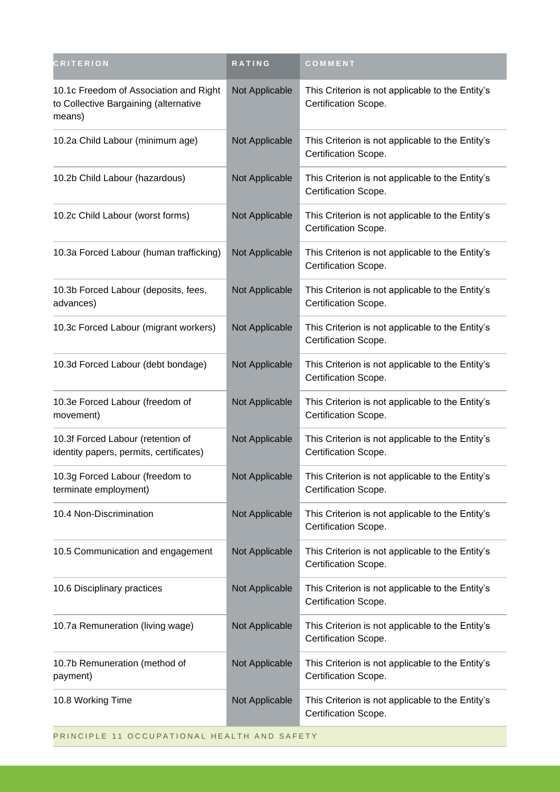| CRITERION                                                                                 | RATING         | COMMENT                                                                  |
|-------------------------------------------------------------------------------------------|----------------|--------------------------------------------------------------------------|
| 10.1c Freedom of Association and Right<br>to Collective Bargaining (alternative<br>means) | Not Applicable | This Criterion is not applicable to the Entity's<br>Certification Scope. |
| 10.2a Child Labour (minimum age)                                                          | Not Applicable | This Criterion is not applicable to the Entity's<br>Certification Scope. |
| 10.2b Child Labour (hazardous)                                                            | Not Applicable | This Criterion is not applicable to the Entity's<br>Certification Scope. |
| 10.2c Child Labour (worst forms)                                                          | Not Applicable | This Criterion is not applicable to the Entity's<br>Certification Scope. |
| 10.3a Forced Labour (human trafficking)                                                   | Not Applicable | This Criterion is not applicable to the Entity's<br>Certification Scope. |
| 10.3b Forced Labour (deposits, fees,<br>advances)                                         | Not Applicable | This Criterion is not applicable to the Entity's<br>Certification Scope. |
| 10.3c Forced Labour (migrant workers)                                                     | Not Applicable | This Criterion is not applicable to the Entity's<br>Certification Scope. |
| 10.3d Forced Labour (debt bondage)                                                        | Not Applicable | This Criterion is not applicable to the Entity's<br>Certification Scope. |
| 10.3e Forced Labour (freedom of<br>movement)                                              | Not Applicable | This Criterion is not applicable to the Entity's<br>Certification Scope. |
| 10.3f Forced Labour (retention of<br>identity papers, permits, certificates)              | Not Applicable | This Criterion is not applicable to the Entity's<br>Certification Scope. |
| 10.3g Forced Labour (freedom to<br>terminate employment)                                  | Not Applicable | This Criterion is not applicable to the Entity's<br>Certification Scope. |
| 10.4 Non-Discrimination                                                                   | Not Applicable | This Criterion is not applicable to the Entity's<br>Certification Scope. |
| 10.5 Communication and engagement                                                         | Not Applicable | This Criterion is not applicable to the Entity's<br>Certification Scope. |
| 10.6 Disciplinary practices                                                               | Not Applicable | This Criterion is not applicable to the Entity's<br>Certification Scope. |
| 10.7a Remuneration (living wage)                                                          | Not Applicable | This Criterion is not applicable to the Entity's<br>Certification Scope. |
| 10.7b Remuneration (method of<br>payment)                                                 | Not Applicable | This Criterion is not applicable to the Entity's<br>Certification Scope. |
| 10.8 Working Time                                                                         | Not Applicable | This Criterion is not applicable to the Entity's<br>Certification Scope. |
| PRINCIPLE 11 OCCUPATIONAL HEALTH AND SAFETY                                               |                |                                                                          |